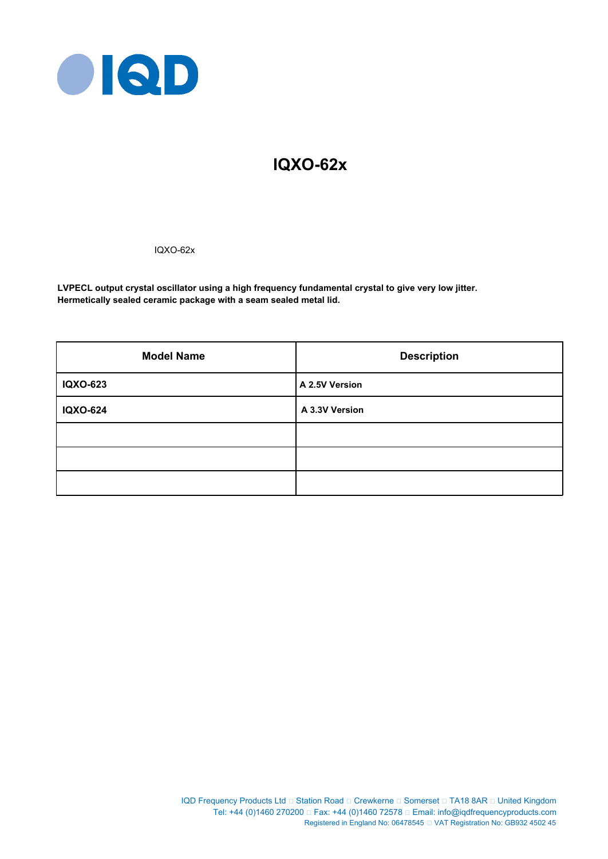

# **IQXO-62x**

IQXO-62x

**LVPECL output crystal oscillator using a high frequency fundamental crystal to give very low jitter. Hermetically sealed ceramic package with a seam sealed metal lid.**

| <b>Model Name</b> | <b>Description</b> |  |  |
|-------------------|--------------------|--|--|
| <b>IQXO-623</b>   | A 2.5V Version     |  |  |
| <b>IQXO-624</b>   | A 3.3V Version     |  |  |
|                   |                    |  |  |
|                   |                    |  |  |
|                   |                    |  |  |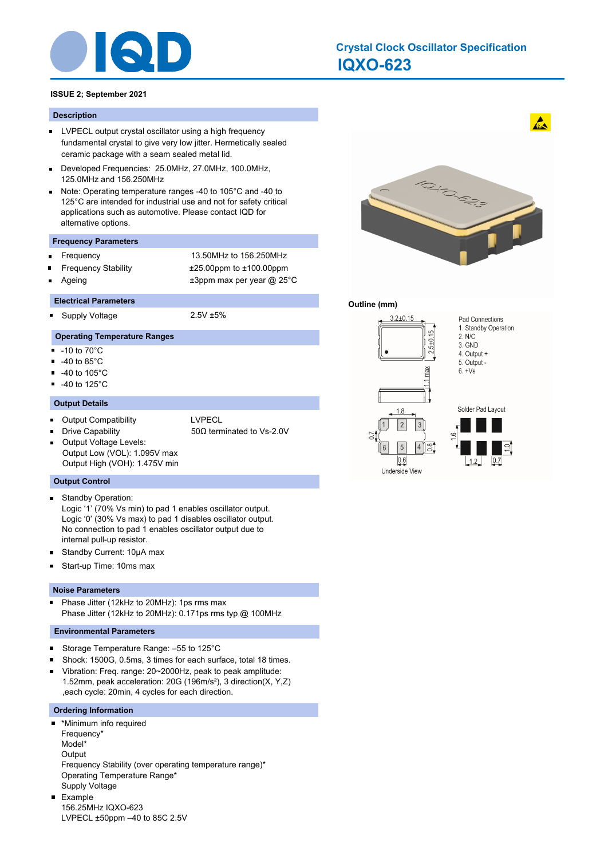

# **IQXO-623 Crystal Clock Oscillator Specification**

# **ISSUE 2; September 2021**

#### **Description**

- **LVPECL output crystal oscillator using a high frequency** fundamental crystal to give very low jitter. Hermetically sealed ceramic package with a seam sealed metal lid.
- Developed Frequencies: 25.0MHz, 27.0MHz, 100.0MHz,  $\blacksquare$ 125.0MHz and 156.250MHz
- Note: Operating temperature ranges -40 to 105°C and -40 to  $\blacksquare$ 125°C are intended for industrial use and not for safety critical applications such as automotive. Please contact IQD for alternative options.

#### **Frequency Parameters**

Frequency 13.50MHz to 156.250MHz  $\blacksquare$ Frequency Stability ±25.00ppm to ±100.00ppm Ageing  $\qquad \qquad \pm 3$ ppm max per year @ 25°C

#### **Electrical Parameters**

Supply Voltage 2.5V ±5% ٠

# **Operating Temperature Ranges**

- $-10$  to  $70^{\circ}$ C
- $-40$  to 85 $^{\circ}$ C
- $\blacksquare$ -40 to 105°C
- -40 to 125°C  $\blacksquare$

#### **Output Details**

- Output Compatibility **LACCION COMPATION** 
	-
- 

Drive Capability 50Ω terminated to Vs-2.0V

Output Voltage Levels: П Output Low (VOL): 1.095V max Output High (VOH): 1.475V min

## **Output Control**

Standby Operation:  $\blacksquare$ 

Logic '1' (70% Vs min) to pad 1 enables oscillator output. Logic '0' (30% Vs max) to pad 1 disables oscillator output. No connection to pad 1 enables oscillator output due to internal pull-up resistor.

- Standby Current: 10µA max  $\blacksquare$
- Start-up Time: 10ms max  $\blacksquare$

#### **Noise Parameters**

Phase Jitter (12kHz to 20MHz): 1ps rms max  $\blacksquare$ Phase Jitter (12kHz to 20MHz): 0.171ps rms typ @ 100MHz

#### **Environmental Parameters**

- $\blacksquare$ Storage Temperature Range: –55 to 125°C
- Shock: 1500G, 0.5ms, 3 times for each surface, total 18 times.
- Vibration: Freq. range: 20~2000Hz, peak to peak amplitude:  $\blacksquare$ 1.52mm, peak acceleration: 20G (196m/s²), 3 direction(X, Y,Z) ,each cycle: 20min, 4 cycles for each direction.

#### **Ordering Information**

\*Minimum info required Frequency\* Model\* **Output** Frequency Stability (over operating temperature range)\* Operating Temperature Range\* Supply Voltage Example 156.25MHz IQXO-623

LVPECL ±50ppm –40 to 85C 2.5V



 $\mathbf{A}$ 

## **Outline (mm)**

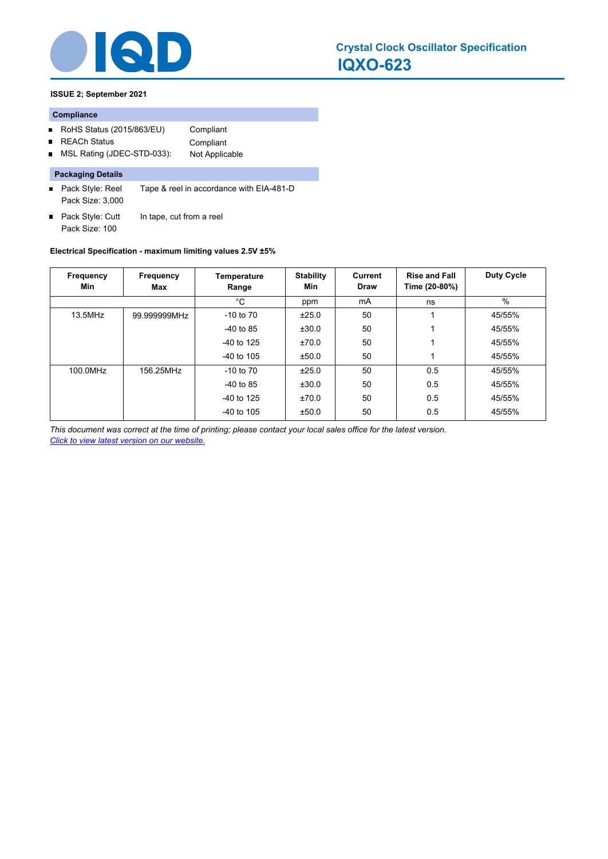

# **ISSUE 2; September 2021**

# **Compliance**

- RoHS Status (2015/863/EU) Compliant
- REACh Status **Compliant**  $\blacksquare$
- MSL Rating (JDEC-STD-033): Not Applicable  $\blacksquare$

# **Packaging Details**

- Pack Style: Reel Tape & reel in accordance with EIA-481-D Pack Size: 3,000
- Pack Style: Cutt In tape, cut from a reel Pack Size: 100

# **Electrical Specification - maximum limiting values 2.5V ±5%**

| Frequency<br>Min | Frequency<br>Max | Temperature<br>Range | <b>Stability</b><br>Min | <b>Current</b><br><b>Draw</b> | <b>Rise and Fall</b><br>Time (20-80%) | <b>Duty Cycle</b> |
|------------------|------------------|----------------------|-------------------------|-------------------------------|---------------------------------------|-------------------|
|                  |                  | $^{\circ}$ C         | ppm                     | mA                            | ns                                    | $\%$              |
| 13.5MHz          | 99.999999MHz     | $-10$ to $70$        | ±25.0                   | 50                            |                                       | 45/55%            |
|                  |                  | -40 to 85            | ±30.0                   | 50                            |                                       | 45/55%            |
|                  |                  | $-40$ to 125         | ±70.0                   | 50                            |                                       | 45/55%            |
|                  |                  | $-40$ to 105         | ±50.0                   | 50                            |                                       | 45/55%            |
| 100.0MHz         | 156.25MHz        | $-10$ to $70$        | ±25.0                   | 50                            | 0.5                                   | 45/55%            |
|                  |                  | $-40$ to 85          | ±30.0                   | 50                            | 0.5                                   | 45/55%            |
|                  |                  | $-40$ to 125         | ±70.0                   | 50                            | 0.5                                   | 45/55%            |
|                  |                  | $-40$ to 105         | ±50.0                   | 50                            | 0.5                                   | 45/55%            |

*This document was correct at the time of printing; please contact your local sales office for the latest version. Click to view latest version on our website.*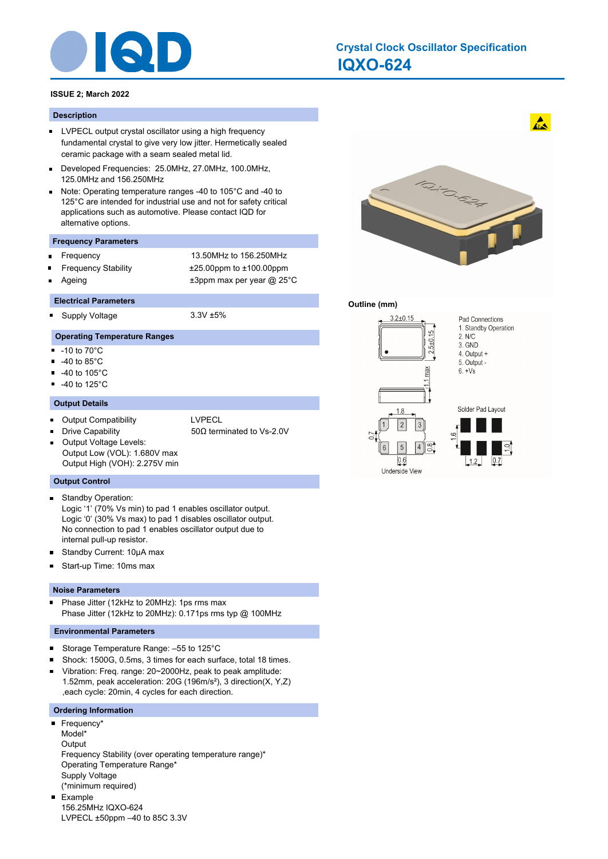

# **IQXO-624 Crystal Clock Oscillator Specification**

# **ISSUE 2; March 2022**

#### **Description**

- **LVPECL output crystal oscillator using a high frequency** fundamental crystal to give very low jitter. Hermetically sealed ceramic package with a seam sealed metal lid.
- Developed Frequencies: 25.0MHz, 27.0MHz, 100.0MHz,  $\blacksquare$ 125.0MHz and 156.250MHz
- Note: Operating temperature ranges -40 to 105°C and -40 to  $\blacksquare$ 125°C are intended for industrial use and not for safety critical applications such as automotive. Please contact IQD for alternative options.

#### **Frequency Parameters**

Frequency 13.50MHz to 156.250MHz  $\blacksquare$ Frequency Stability ±25.00ppm to ±100.00ppm Ageing  $\qquad \qquad \pm 3$ ppm max per year @ 25°C

#### **Electrical Parameters**

Supply Voltage 3.3V ±5% ٠

# **Operating Temperature Ranges**

- $-10$  to  $70^{\circ}$ C
- $-40$  to 85 $^{\circ}$ C
- $\blacksquare$ -40 to 105°C
- -40 to 125°C  $\blacksquare$

#### **Output Details**

- Output Compatibility **LACCION COMPATION** 
	-
- 

Drive Capability 50Ω terminated to Vs-2.0V

Output Voltage Levels: П Output Low (VOL): 1.680V max Output High (VOH): 2.275V min

## **Output Control**

Standby Operation:  $\blacksquare$ 

Logic '1' (70% Vs min) to pad 1 enables oscillator output. Logic '0' (30% Vs max) to pad 1 disables oscillator output. No connection to pad 1 enables oscillator output due to internal pull-up resistor.

- Standby Current: 10µA max  $\blacksquare$
- Start-up Time: 10ms max  $\blacksquare$

#### **Noise Parameters**

Phase Jitter (12kHz to 20MHz): 1ps rms max  $\blacksquare$ Phase Jitter (12kHz to 20MHz): 0.171ps rms typ @ 100MHz

#### **Environmental Parameters**

 $\blacksquare$ Storage Temperature Range: –55 to 125°C

LVPECL ±50ppm –40 to 85C 3.3V

- Shock: 1500G, 0.5ms, 3 times for each surface, total 18 times.
- Vibration: Freq. range: 20~2000Hz, peak to peak amplitude:  $\blacksquare$ 1.52mm, peak acceleration: 20G (196m/s²), 3 direction(X, Y,Z) ,each cycle: 20min, 4 cycles for each direction.

#### **Ordering Information**

Frequency\* Model\* **Output** Frequency Stability (over operating temperature range)\* Operating Temperature Range\* Supply Voltage (\*minimum required) Example 156.25MHz IQXO-624



 $\mathbf{A}$ 

# **Outline (mm)**